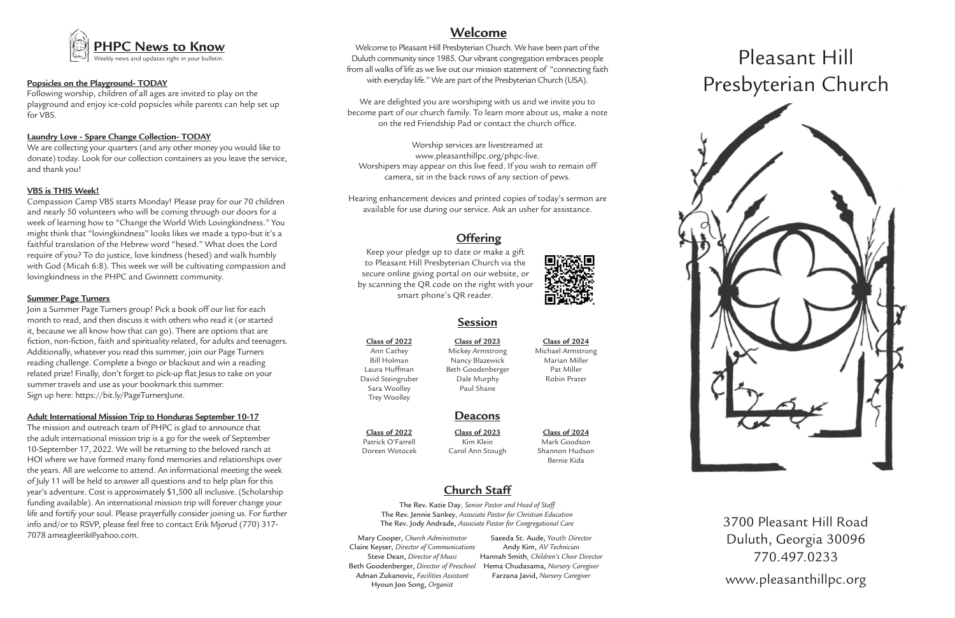# Pleasant Hill Presbyterian Church



3700 Pleasant Hill Road Duluth, Georgia 30096 770.497.0233 www.pleasanthillpc.org



# **Session**

# **Deacons**

#### **Class of 2022**

Ann Cathey Bill Holman Laura Huffman David Steingruber Sara Woolley Trey Woolley

**Class of 2023** Mickey Armstrong

Nancy Blazewick Beth Goodenberger Dale Murphy Paul Shane

**Class of 2024** Michael Armstrong Marian Miller

> Pat Miller Robin Prater

**Class of 2024** Mark Goodson Shannon Hudson Bernie Kida

**Class of 2023**

Kim Klein Carol Ann Stough

**Class of 2022** Patrick O'Farrell Doreen Wotocek

# **Church Staff**

The Rev. Katie Day, *Senior Pastor and Head of Staff* The Rev. Jennie Sankey, *Associate Pastor for Christian Education* The Rev. Jody Andrade, *Associate Pastor for Congregational Care*

# **Offering**

Keep your pledge up to date or make a gift to Pleasant Hill Presbyterian Church via the secure online giving portal on our website, or by scanning the QR code on the right with your smart phone's QR reader.



Welcome to Pleasant Hill Presbyterian Church. We have been part of the Duluth community since 1985. Our vibrant congregation embraces people from all walks of life as we live out our mission statement of "connecting faith with everyday life." We are part of the Presbyterian Church (USA).

We are delighted you are worshiping with us and we invite you to become part of our church family. To learn more about us, make a note on the red Friendship Pad or contact the church office.

Worship services are livestreamed at www.pleasanthillpc.org/phpc-live. Worshipers may appear on this live feed. If you wish to remain off camera, sit in the back rows of any section of pews.

Hearing enhancement devices and printed copies of today's sermon are available for use during our service. Ask an usher for assistance.

# **Welcome**

## **Popsicles on the Playground- TODAY**

Following worship, children of all ages are invited to play on the playground and enjoy ice-cold popsicles while parents can help set up for VBS.

## **Laundry Love - Spare Change Collection- TODAY**

We are collecting your quarters (and any other money you would like to donate) today. Look for our collection containers as you leave the service, and thank you!

#### **VBS is THIS Week!**

Compassion Camp VBS starts Monday! Please pray for our 70 children and nearly 50 volunteers who will be coming through our doors for a week of learning how to "Change the World With Lovingkindness." You might think that "lovingkindness" looks likes we made a typo-but it's a faithful translation of the Hebrew word "hesed." What does the Lord require of you? To do justice, love kindness (hesed) and walk humbly with God (Micah 6:8). This week we will be cultivating compassion and lovingkindness in the PHPC and Gwinnett community.

#### **Summer Page Turners**

Join a Summer Page Turners group! Pick a book off our list for each month to read, and then discuss it with others who read it (or started it, because we all know how that can go). There are options that are fiction, non-fiction, faith and spirituality related, for adults and teenagers. Additionally, whatever you read this summer, join our Page Turners reading challenge. Complete a bingo or blackout and win a reading related prize! Finally, don't forget to pick-up flat Jesus to take on your summer travels and use as your bookmark this summer. Sign up here: https://bit.ly/PageTurnersJune.

#### **Adult International Mission Trip to Honduras September 10-17**

The mission and outreach team of PHPC is glad to announce that the adult international mission trip is a go for the week of September 10-September 17, 2022. We will be returning to the beloved ranch at HOI where we have formed many fond memories and relationships over the years. All are welcome to attend. An informational meeting the week of July 11 will be held to answer all questions and to help plan for this year's adventure. Cost is approximately \$1,500 all inclusive. (Scholarship funding available). An international mission trip will forever change your life and fortify your soul. Please prayerfully consider joining us. For further info and/or to RSVP, please feel free to contact Erik Mjorud (770) 317- 7078 ameagleerik@yahoo.com. Mary Cooper, *Church Administrator*

Claire Keyser, *Director of Communications* Steve Dean, *Director of Music* Beth Goodenberger, *Director of Preschool* Adnan Zukanovic, *Facilities Assistant* Hyoun Joo Song, *Organist*

Saeeda St. Aude, Youth *Director*  Andy Kim, *AV Technician* Hannah Smith*, Children's Choir Director* Hema Chudasama, *Nursery Caregiver* Farzana Javid, *Nursery Caregiver*